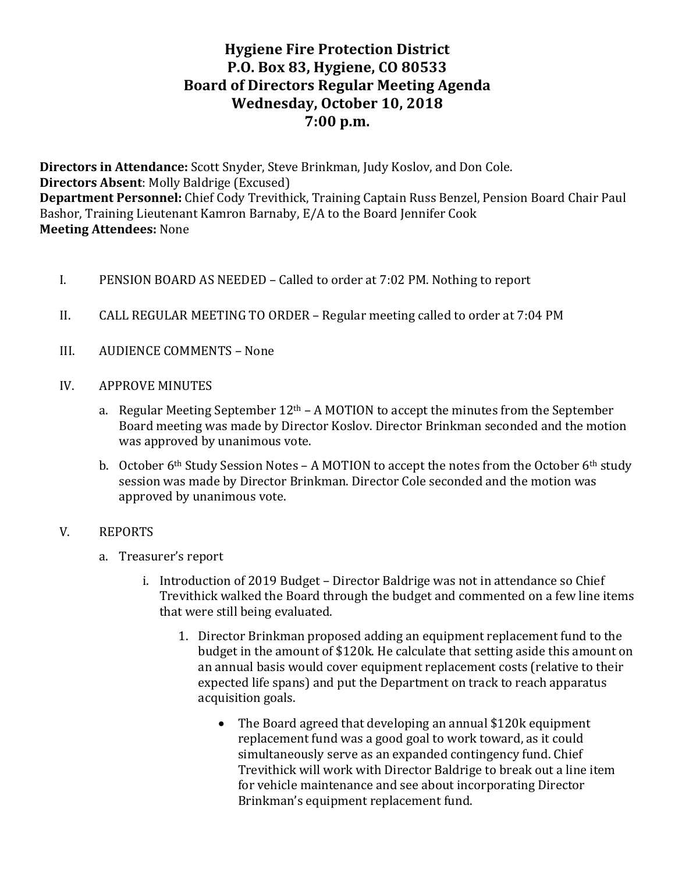# **Hygiene Fire Protection District P.O. Box 83, Hygiene, CO 80533 Board of Directors Regular Meeting Agenda Wednesday, October 10, 2018 7:00 p.m.**

**Directors in Attendance:** Scott Snyder, Steve Brinkman, Judy Koslov, and Don Cole. **Directors Absent:** Molly Baldrige (Excused) Department Personnel: Chief Cody Trevithick, Training Captain Russ Benzel, Pension Board Chair Paul Bashor, Training Lieutenant Kamron Barnaby, E/A to the Board Jennifer Cook **Meeting Attendees:** None

- I. PENSION BOARD AS NEEDED Called to order at 7:02 PM. Nothing to report
- II. CALL REGULAR MEETING TO ORDER Regular meeting called to order at 7:04 PM
- III. AUDIENCE COMMENTS None
- IV. APPROVE MINUTES
	- a. Regular Meeting September  $12<sup>th</sup>$  A MOTION to accept the minutes from the September Board meeting was made by Director Koslov. Director Brinkman seconded and the motion was approved by unanimous vote.
	- b. October  $6<sup>th</sup>$  Study Session Notes A MOTION to accept the notes from the October  $6<sup>th</sup>$  study session was made by Director Brinkman. Director Cole seconded and the motion was approved by unanimous vote.

### V. REPORTS

- a. Treasurer's report
	- i. Introduction of 2019 Budget Director Baldrige was not in attendance so Chief Trevithick walked the Board through the budget and commented on a few line items that were still being evaluated.
		- 1. Director Brinkman proposed adding an equipment replacement fund to the budget in the amount of \$120k. He calculate that setting aside this amount on an annual basis would cover equipment replacement costs (relative to their expected life spans) and put the Department on track to reach apparatus acquisition goals.
			- The Board agreed that developing an annual \$120k equipment replacement fund was a good goal to work toward, as it could simultaneously serve as an expanded contingency fund. Chief Trevithick will work with Director Baldrige to break out a line item for vehicle maintenance and see about incorporating Director Brinkman's equipment replacement fund.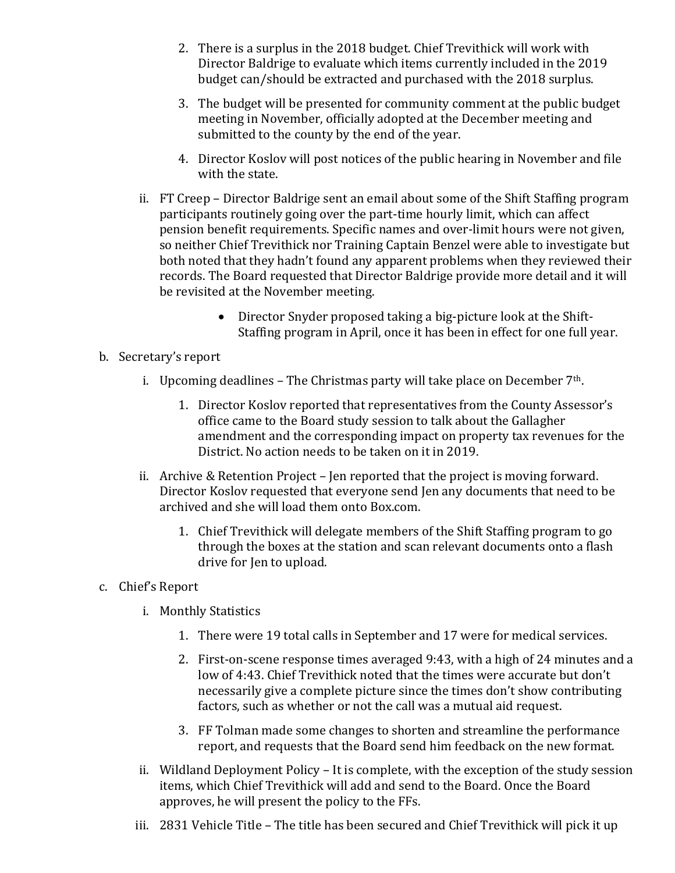- 2. There is a surplus in the 2018 budget. Chief Trevithick will work with Director Baldrige to evaluate which items currently included in the 2019 budget can/should be extracted and purchased with the 2018 surplus.
- 3. The budget will be presented for community comment at the public budget meeting in November, officially adopted at the December meeting and submitted to the county by the end of the year.
- 4. Director Koslov will post notices of the public hearing in November and file with the state.
- ii. FT Creep Director Baldrige sent an email about some of the Shift Staffing program participants routinely going over the part-time hourly limit, which can affect pension benefit requirements. Specific names and over-limit hours were not given, so neither Chief Trevithick nor Training Captain Benzel were able to investigate but both noted that they hadn't found any apparent problems when they reviewed their records. The Board requested that Director Baldrige provide more detail and it will be revisited at the November meeting.
	- Director Snyder proposed taking a big-picture look at the Shift-Staffing program in April, once it has been in effect for one full year.
- b. Secretary's report
	- i. Upcoming deadlines The Christmas party will take place on December  $7<sup>th</sup>$ .
		- 1. Director Koslov reported that representatives from the County Assessor's office came to the Board study session to talk about the Gallagher amendment and the corresponding impact on property tax revenues for the District. No action needs to be taken on it in 2019.
	- ii. Archive & Retention Project Jen reported that the project is moving forward. Director Koslov requested that everyone send Jen any documents that need to be archived and she will load them onto Box.com.
		- 1. Chief Trevithick will delegate members of the Shift Staffing program to go through the boxes at the station and scan relevant documents onto a flash drive for Jen to upload.
- c. Chief's Report
	- i. Monthly Statistics
		- 1. There were 19 total calls in September and 17 were for medical services.
		- 2. First-on-scene response times averaged 9:43, with a high of 24 minutes and a low of 4:43. Chief Trevithick noted that the times were accurate but don't necessarily give a complete picture since the times don't show contributing factors, such as whether or not the call was a mutual aid request.
		- 3. FF Tolman made some changes to shorten and streamline the performance report, and requests that the Board send him feedback on the new format.
	- ii. Wildland Deployment Policy It is complete, with the exception of the study session items, which Chief Trevithick will add and send to the Board. Once the Board approves, he will present the policy to the FFs.
	- iii. 2831 Vehicle Title The title has been secured and Chief Trevithick will pick it up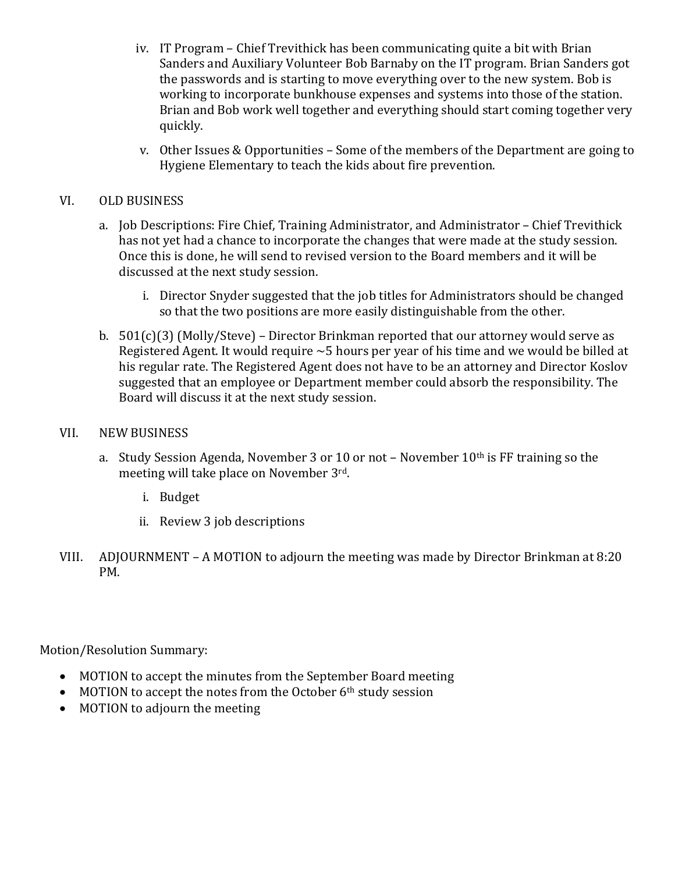- iv. IT Program Chief Trevithick has been communicating quite a bit with Brian Sanders and Auxiliary Volunteer Bob Barnaby on the IT program. Brian Sanders got the passwords and is starting to move everything over to the new system. Bob is working to incorporate bunkhouse expenses and systems into those of the station. Brian and Bob work well together and everything should start coming together very quickly.
- v. Other Issues & Opportunities  $-$  Some of the members of the Department are going to Hygiene Elementary to teach the kids about fire prevention.

## VI. OLD BUSINESS

- a. Job Descriptions: Fire Chief, Training Administrator, and Administrator Chief Trevithick has not yet had a chance to incorporate the changes that were made at the study session. Once this is done, he will send to revised version to the Board members and it will be discussed at the next study session.
	- i. Director Snyder suggested that the job titles for Administrators should be changed so that the two positions are more easily distinguishable from the other.
- b.  $501(c)(3)$  (Molly/Steve) Director Brinkman reported that our attorney would serve as Registered Agent. It would require  $\sim$  5 hours per year of his time and we would be billed at his regular rate. The Registered Agent does not have to be an attorney and Director Koslov suggested that an employee or Department member could absorb the responsibility. The Board will discuss it at the next study session.

#### VII. NEW BUSINESS

- a. Study Session Agenda, November 3 or 10 or not November  $10^{th}$  is FF training so the meeting will take place on November 3rd.
	- i. Budget
	- ii. Review 3 job descriptions
- VIII. ADJOURNMENT A MOTION to adjourn the meeting was made by Director Brinkman at 8:20 PM.

Motion/Resolution Summary:

- MOTION to accept the minutes from the September Board meeting
- MOTION to accept the notes from the October  $6<sup>th</sup>$  study session
- MOTION to adjourn the meeting